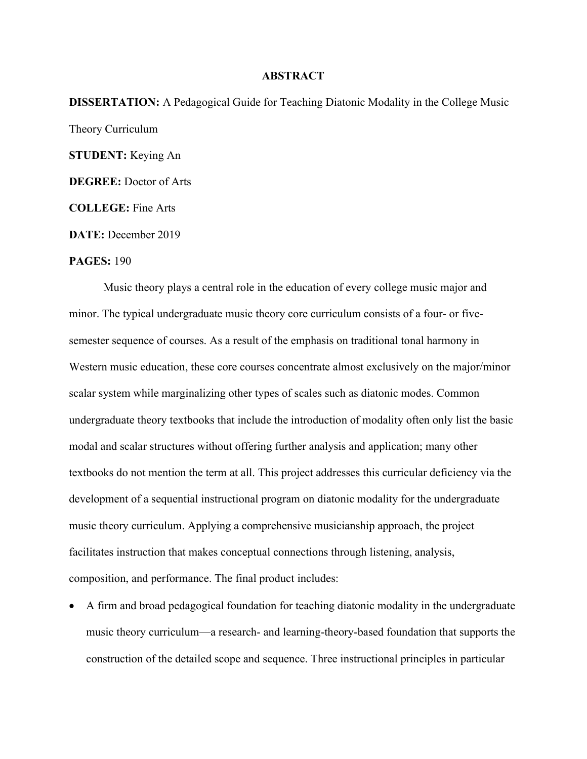## **ABSTRACT**

DISSERTATION: A Pedagogical Guide for Teaching Diatonic Modality in the College Music Theory Curriculum STUDENT: Keying An DEGREE: Doctor of Arts COLLEGE: Fine Arts

DATE: December 2019

PAGES: 190

Music theory plays a central role in the education of every college music major and minor. The typical undergraduate music theory core curriculum consists of a four- or fivesemester sequence of courses. As a result of the emphasis on traditional tonal harmony in Western music education, these core courses concentrate almost exclusively on the major/minor scalar system while marginalizing other types of scales such as diatonic modes. Common undergraduate theory textbooks that include the introduction of modality often only list the basic modal and scalar structures without offering further analysis and application; many other textbooks do not mention the term at all. This project addresses this curricular deficiency via the development of a sequential instructional program on diatonic modality for the undergraduate music theory curriculum. Applying a comprehensive musicianship approach, the project facilitates instruction that makes conceptual connections through listening, analysis, composition, and performance. The final product includes:

 A firm and broad pedagogical foundation for teaching diatonic modality in the undergraduate music theory curriculum—a research- and learning-theory-based foundation that supports the construction of the detailed scope and sequence. Three instructional principles in particular